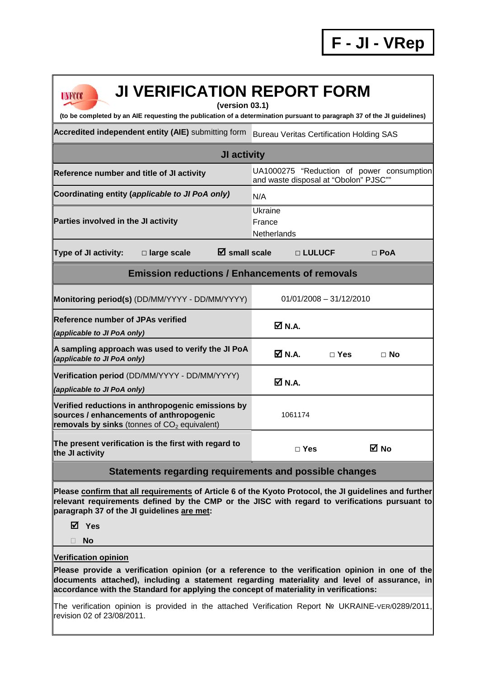| <b>UNFCCC</b> |  |
|---------------|--|
|               |  |

## **JI VERIFICATION REPORT FORM**

**(version 03.1)** 

**(to be completed by an AIE requesting the publication of a determination pursuant to paragraph 37 of the JI guidelines)** 

Accredited independent entity (AIE) submitting form Bureau Veritas Certification Holding SAS

| <b>JI activity</b>                                                                                                                                       |                                       |            |                                           |  |
|----------------------------------------------------------------------------------------------------------------------------------------------------------|---------------------------------------|------------|-------------------------------------------|--|
| Reference number and title of JI activity                                                                                                                | and waste disposal at "Obolon" PJSC"" |            | UA1000275 "Reduction of power consumption |  |
| Coordinating entity (applicable to JI PoA only)                                                                                                          | N/A                                   |            |                                           |  |
| Parties involved in the JI activity                                                                                                                      | Ukraine<br>France<br>Netherlands      |            |                                           |  |
| $\boxtimes$ small scale<br><b>Type of JI activity:</b><br>□ large scale                                                                                  | □ LULUCF                              |            | $\Box$ PoA                                |  |
| <b>Emission reductions / Enhancements of removals</b>                                                                                                    |                                       |            |                                           |  |
| Monitoring period(s) (DD/MM/YYYY - DD/MM/YYYY)                                                                                                           | $01/01/2008 - 31/12/2010$             |            |                                           |  |
| <b>Reference number of JPAs verified</b><br>(applicable to JI PoA only)                                                                                  | M N.A.                                |            |                                           |  |
| A sampling approach was used to verify the JI PoA<br>(applicable to JI PoA only)                                                                         | <b>☑</b> N.A.                         | $\Box$ Yes | $\Box$ No                                 |  |
| Verification period (DD/MM/YYYY - DD/MM/YYYY)<br>(applicable to JI PoA only)                                                                             | <b>☑ N.A.</b>                         |            |                                           |  |
| Verified reductions in anthropogenic emissions by<br>sources / enhancements of anthropogenic<br>removals by sinks (tonnes of CO <sub>2</sub> equivalent) | 1061174                               |            |                                           |  |
| The present verification is the first with regard to<br>the JI activity                                                                                  | $\Box$ Yes                            |            | M No                                      |  |

## **Statements regarding requirements and possible changes**

**Please confirm that all requirements of Article 6 of the Kyoto Protocol, the JI guidelines and further relevant requirements defined by the CMP or the JISC with regard to verifications pursuant to paragraph 37 of the JI guidelines are met:** 

**Yes** 

**No** 

## **Verification opinion**

**Please provide a verification opinion (or a reference to the verification opinion in one of the documents attached), including a statement regarding materiality and level of assurance, in accordance with the Standard for applying the concept of materiality in verifications:** 

The verification opinion is provided in the attached Verification Report № UKRAINE-VER/0289/2011, revision 02 of 23/08/2011.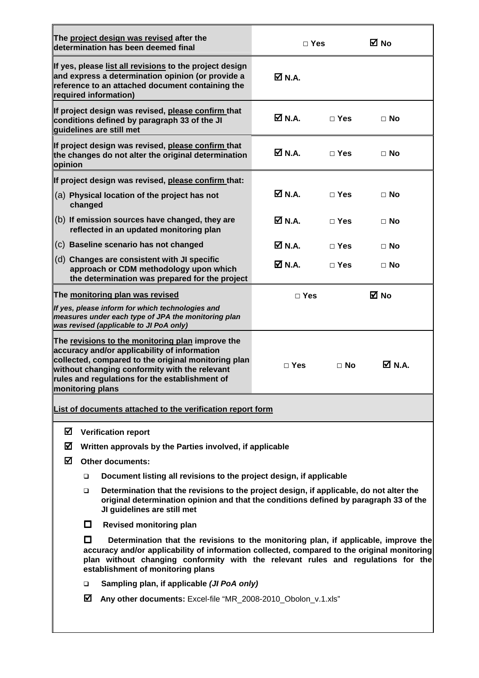| The project design was revised after the<br>determination has been deemed final                                                                                     |                                                                                                                                                                                                                                                                                                             | $\Box$ Yes |            | ⊠ No      |
|---------------------------------------------------------------------------------------------------------------------------------------------------------------------|-------------------------------------------------------------------------------------------------------------------------------------------------------------------------------------------------------------------------------------------------------------------------------------------------------------|------------|------------|-----------|
| required information)                                                                                                                                               | If yes, please list all revisions to the project design<br>and express a determination opinion (or provide a<br>reference to an attached document containing the                                                                                                                                            | ØN.A.      |            |           |
| conditions defined by paragraph 33 of the JI<br>guidelines are still met                                                                                            | If project design was revised, please confirm that                                                                                                                                                                                                                                                          | Ø N.A.     | $\Box$ Yes | $\Box$ No |
| opinion                                                                                                                                                             | If project design was revised, please confirm that<br>the changes do not alter the original determination                                                                                                                                                                                                   | Ø N.A.     | $\Box$ Yes | $\Box$ No |
|                                                                                                                                                                     | If project design was revised, please confirm that:                                                                                                                                                                                                                                                         |            |            |           |
| (a) Physical location of the project has not<br>changed                                                                                                             |                                                                                                                                                                                                                                                                                                             | M N.A.     | $\Box$ Yes | $\Box$ No |
|                                                                                                                                                                     | (b) If emission sources have changed, they are<br>reflected in an updated monitoring plan                                                                                                                                                                                                                   | Ø N.A.     | $\Box$ Yes | $\Box$ No |
| (c) Baseline scenario has not changed                                                                                                                               |                                                                                                                                                                                                                                                                                                             | Ø N.A.     | $\Box$ Yes | $\Box$ No |
| (d) Changes are consistent with JI specific                                                                                                                         | approach or CDM methodology upon which<br>the determination was prepared for the project                                                                                                                                                                                                                    | Ø N.A.     | $\Box$ Yes | ⊟ No      |
| The monitoring plan was revised                                                                                                                                     |                                                                                                                                                                                                                                                                                                             | $\Box$ Yes |            | ⊠ No      |
| If yes, please inform for which technologies and<br>was revised (applicable to JI PoA only)                                                                         | measures under each type of JPA the monitoring plan                                                                                                                                                                                                                                                         |            |            |           |
| accuracy and/or applicability of information<br>without changing conformity with the relevant<br>rules and regulations for the establishment of<br>monitoring plans | The revisions to the monitoring plan improve the<br>collected, compared to the original monitoring plan                                                                                                                                                                                                     | $\Box$ Yes | $\Box$ No  | M N.A.    |
|                                                                                                                                                                     | List of documents attached to the verification report form                                                                                                                                                                                                                                                  |            |            |           |
| ☑                                                                                                                                                                   | <b>Verification report</b>                                                                                                                                                                                                                                                                                  |            |            |           |
| ☑<br>Written approvals by the Parties involved, if applicable                                                                                                       |                                                                                                                                                                                                                                                                                                             |            |            |           |
| ☑<br><b>Other documents:</b>                                                                                                                                        |                                                                                                                                                                                                                                                                                                             |            |            |           |
| Document listing all revisions to the project design, if applicable<br>□                                                                                            |                                                                                                                                                                                                                                                                                                             |            |            |           |
| $\Box$                                                                                                                                                              | Determination that the revisions to the project design, if applicable, do not alter the<br>original determination opinion and that the conditions defined by paragraph 33 of the<br>JI guidelines are still met                                                                                             |            |            |           |
| 0                                                                                                                                                                   | <b>Revised monitoring plan</b>                                                                                                                                                                                                                                                                              |            |            |           |
| П                                                                                                                                                                   | Determination that the revisions to the monitoring plan, if applicable, improve the<br>accuracy and/or applicability of information collected, compared to the original monitoring<br>plan without changing conformity with the relevant rules and regulations for the<br>establishment of monitoring plans |            |            |           |
| □                                                                                                                                                                   | Sampling plan, if applicable (JI PoA only)                                                                                                                                                                                                                                                                  |            |            |           |
| ⊠                                                                                                                                                                   | Any other documents: Excel-file "MR_2008-2010_Obolon_v.1.xls"                                                                                                                                                                                                                                               |            |            |           |
|                                                                                                                                                                     |                                                                                                                                                                                                                                                                                                             |            |            |           |